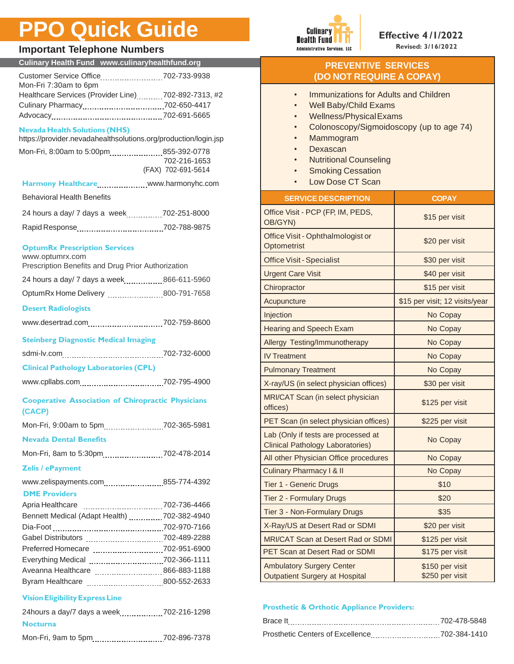# **PPO Quick Guide**

### $Imp$



| <b>Important Telephone Numbers</b>                                                                      |                    |                            |
|---------------------------------------------------------------------------------------------------------|--------------------|----------------------------|
| Culinary Health Fund www.culinaryhealthfund.org                                                         |                    |                            |
| Customer Service Office702-733-9938<br>Mon-Fri 7:30am to 6pm                                            |                    |                            |
| Healthcare Services (Provider Line)702-892-7313, #2                                                     |                    |                            |
|                                                                                                         |                    |                            |
|                                                                                                         |                    |                            |
| <b>Nevada Health Solutions (NHS)</b><br>https://provider.nevadahealthsolutions.org/production/login.jsp |                    |                            |
| Mon-Fri, 8:00am to 5:00pm855-392-0778                                                                   |                    |                            |
|                                                                                                         | 702-216-1653       |                            |
|                                                                                                         | (FAX) 702-691-5614 |                            |
|                                                                                                         |                    |                            |
| <b>Behavioral Health Benefits</b>                                                                       |                    | <b>SEF</b>                 |
| 24 hours a day/ 7 days a week702-251-8000                                                               |                    | <b>Office Visi</b>         |
|                                                                                                         |                    | OB/GYN)                    |
|                                                                                                         |                    | <b>Office Vis</b>          |
| <b>OptumRx Prescription Services</b><br>www.optumrx.com                                                 |                    | Optometr                   |
| Prescription Benefits and Drug Prior Authorization                                                      |                    | <b>Office Vis</b>          |
|                                                                                                         |                    | <b>Urgent Ca</b>           |
| OptumRx Home Delivery 800-791-7658                                                                      |                    | Chiroprac                  |
|                                                                                                         |                    | Acupunctu                  |
| <b>Desert Radiologists</b>                                                                              |                    | Injection                  |
| www.desertrad.com702-759-8600                                                                           |                    | Hearing a                  |
| <b>Steinberg Diagnostic Medical Imaging</b>                                                             |                    | Allergy Te                 |
|                                                                                                         |                    | <b>IV Treatme</b>          |
| <b>Clinical Pathology Laboratories (CPL)</b>                                                            |                    | Pulmonar                   |
|                                                                                                         |                    | X-ray/US                   |
|                                                                                                         |                    |                            |
| <b>Cooperative Association of Chiropractic Physicians</b><br>(CACP)                                     |                    | <b>MRI/CAT</b><br>offices) |
|                                                                                                         |                    | <b>PET Scan</b>            |
| <b>Nevada Dental Benefits</b>                                                                           |                    | Lab (Only                  |
|                                                                                                         |                    | <b>Clinical Pa</b>         |
| Mon-Fri, 8am to 5:30pm702-478-2014                                                                      |                    | All other F                |
| <b>Zelis / ePayment</b>                                                                                 |                    | <b>Culinary P</b>          |
| www.zelispayments.com 855-774-4392                                                                      |                    | Tier 1 - G                 |
| <b>DME Providers</b>                                                                                    |                    | Tier 2 - Fo                |
| Bennett Medical (Adapt Health) 702-382-4940                                                             |                    | Tier 3 - No                |
|                                                                                                         |                    | X-Ray/US                   |
| Gabel Distributors 702-489-2288                                                                         |                    | <b>MRI/CAT</b>             |
|                                                                                                         |                    | <b>PET Scan</b>            |
|                                                                                                         |                    |                            |
|                                                                                                         |                    | Ambulator<br>Outpatien     |
|                                                                                                         |                    |                            |
| <b>Vision Eligibility Express Line</b>                                                                  |                    |                            |
| 24hours a day/7 days a week702-216-1298                                                                 |                    | <b>Prosthetio</b>          |
| <b>Nocturna</b>                                                                                         |                    | Brace It                   |

Mon-Fri, 9am to 5pm.................................702-896-7378

#### **PREVENTIVE SERVICES (DO NOT REQUIRE A COPAY)**

- Well Baby/Child Exams
- Wellness/PhysicalExams
- Colonoscopy/Sigmoidoscopy (up to age 74)
- Mammogram
- **Dexascan**
- Nutritional Counseling
- **Smoking Cessation**
- Low Dose CT Scan

| <b>SERVICE DESCRIPTION</b>                                                     | <b>COPAY</b>                       |
|--------------------------------------------------------------------------------|------------------------------------|
| Office Visit - PCP (FP, IM, PEDS,<br>OB/GYN)                                   | \$15 per visit                     |
| Office Visit - Ophthalmologist or<br>Optometrist                               | \$20 per visit                     |
| <b>Office Visit - Specialist</b>                                               | \$30 per visit                     |
| <b>Urgent Care Visit</b>                                                       | \$40 per visit                     |
| Chiropractor                                                                   | \$15 per visit                     |
| Acupuncture                                                                    | \$15 per visit; 12 visits/year     |
| Injection                                                                      | No Copay                           |
| <b>Hearing and Speech Exam</b>                                                 | No Copay                           |
| Allergy Testing/Immunotherapy                                                  | No Copay                           |
| <b>IV Treatment</b>                                                            | No Copay                           |
| <b>Pulmonary Treatment</b>                                                     | No Copay                           |
| X-ray/US (in select physician offices)                                         | \$30 per visit                     |
| MRI/CAT Scan (in select physician<br>offices)                                  | \$125 per visit                    |
| PET Scan (in select physician offices)                                         | \$225 per visit                    |
| Lab (Only if tests are processed at<br><b>Clinical Pathology Laboratories)</b> | No Copay                           |
| All other Physician Office procedures                                          | No Copay                           |
| <b>Culinary Pharmacy I &amp; II</b>                                            | No Copay                           |
| <b>Tier 1 - Generic Drugs</b>                                                  | \$10                               |
| <b>Tier 2 - Formulary Drugs</b>                                                | \$20                               |
| Tier 3 - Non-Formulary Drugs                                                   | \$35                               |
| X-Ray/US at Desert Rad or SDMI                                                 | \$20 per visit                     |
| <b>MRI/CAT Scan at Desert Rad or SDMI</b>                                      | \$125 per visit                    |
| <b>PET Scan at Desert Rad or SDMI</b>                                          | \$175 per visit                    |
| <b>Ambulatory Surgery Center</b><br>Outpatient Surgery at Hospital             | \$150 per visit<br>\$250 per visit |

#### **Prosthetic & Orthotic Appliance Providers:**

| Brace It                         | 702-478-5848 |
|----------------------------------|--------------|
| Prosthetic Centers of Excellence | 702-384-1410 |